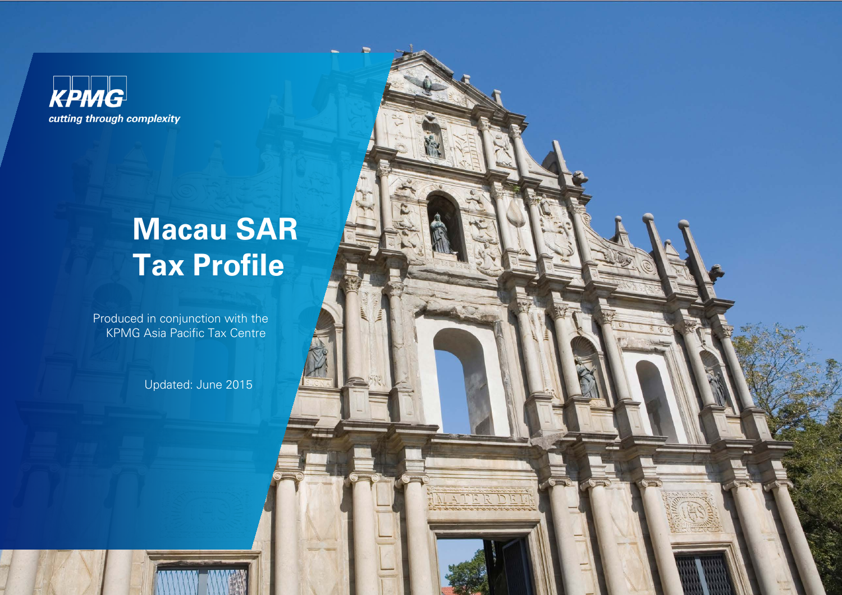

# **Macau SAR Tax Profile**

Produced in conjunction with the KPMG Asia Pacific Tax Centre

Updated: June 2015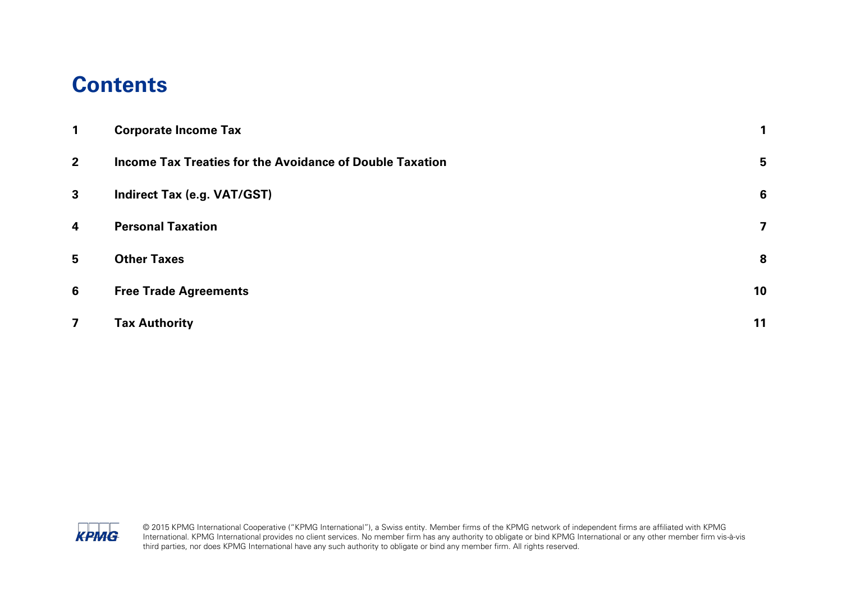#### **Contents**

| 1                       | <b>Corporate Income Tax</b>                              |    |
|-------------------------|----------------------------------------------------------|----|
| $2^{\circ}$             | Income Tax Treaties for the Avoidance of Double Taxation | 5  |
| $\mathbf{3}$            | <b>Indirect Tax (e.g. VAT/GST)</b>                       | 6  |
| $\overline{\mathbf{4}}$ | <b>Personal Taxation</b>                                 | 7  |
| 5                       | <b>Other Taxes</b>                                       | 8  |
| 6                       | <b>Free Trade Agreements</b>                             | 10 |
| $\overline{\mathbf{z}}$ | <b>Tax Authority</b>                                     | 11 |



© 2015 KPMG International Cooperative ("KPMG International"), a Swiss entity. Member firms of the KPMG network of independent firms are affiliated with KPMG International. KPMG International provides no client services. No member firm has any authority to obligate or bind KPMG International or any other member firm vis-à-vis third parties, nor does KPMG International have any such authority to obligate or bind any member firm. All rights reserved.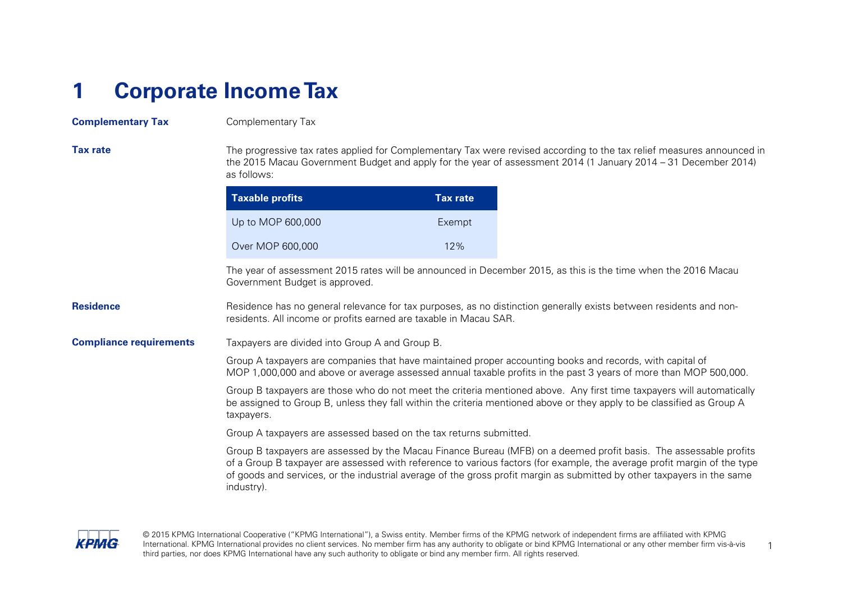### <span id="page-2-0"></span>**1 Corporate Income Tax**

#### **Complementary Tax** Complementary Tax

| <b>Tax rate</b>                | The progressive tax rates applied for Complementary Tax were revised according to the tax relief measures announced in<br>the 2015 Macau Government Budget and apply for the year of assessment 2014 (1 January 2014 – 31 December 2014)<br>as follows:                                                                                                                                |                 |
|--------------------------------|----------------------------------------------------------------------------------------------------------------------------------------------------------------------------------------------------------------------------------------------------------------------------------------------------------------------------------------------------------------------------------------|-----------------|
|                                | <b>Taxable profits</b>                                                                                                                                                                                                                                                                                                                                                                 | <b>Tax rate</b> |
|                                | Up to MOP 600,000                                                                                                                                                                                                                                                                                                                                                                      | Exempt          |
|                                | Over MOP 600,000                                                                                                                                                                                                                                                                                                                                                                       | 12%             |
|                                | The year of assessment 2015 rates will be announced in December 2015, as this is the time when the 2016 Macau<br>Government Budget is approved.                                                                                                                                                                                                                                        |                 |
| <b>Residence</b>               | Residence has no general relevance for tax purposes, as no distinction generally exists between residents and non-<br>residents. All income or profits earned are taxable in Macau SAR.                                                                                                                                                                                                |                 |
| <b>Compliance requirements</b> | Taxpayers are divided into Group A and Group B.                                                                                                                                                                                                                                                                                                                                        |                 |
|                                | Group A taxpayers are companies that have maintained proper accounting books and records, with capital of<br>MOP 1,000,000 and above or average assessed annual taxable profits in the past 3 years of more than MOP 500,000.                                                                                                                                                          |                 |
|                                | Group B taxpayers are those who do not meet the criteria mentioned above. Any first time taxpayers will automatically<br>be assigned to Group B, unless they fall within the criteria mentioned above or they apply to be classified as Group A<br>taxpayers.                                                                                                                          |                 |
|                                | Group A taxpayers are assessed based on the tax returns submitted.                                                                                                                                                                                                                                                                                                                     |                 |
|                                | Group B taxpayers are assessed by the Macau Finance Bureau (MFB) on a deemed profit basis. The assessable profits<br>of a Group B taxpayer are assessed with reference to various factors (for example, the average profit margin of the type<br>of goods and services, or the industrial average of the gross profit margin as submitted by other taxpayers in the same<br>industry). |                 |



© 2015 KPMG International Cooperative ("KPMG International"), a Swiss entity. Member firms of the KPMG network of independent firms are affiliated with KPMG International. KPMG International provides no client services. No member firm has any authority to obligate or bind KPMG International or any other member firm vis-à-vis International. KPMG International provides no client services. No member firm has any authority to obligate or bind KPMG International or any other member firm vis-à-vis<br>
third parties, nor does KPMG International have any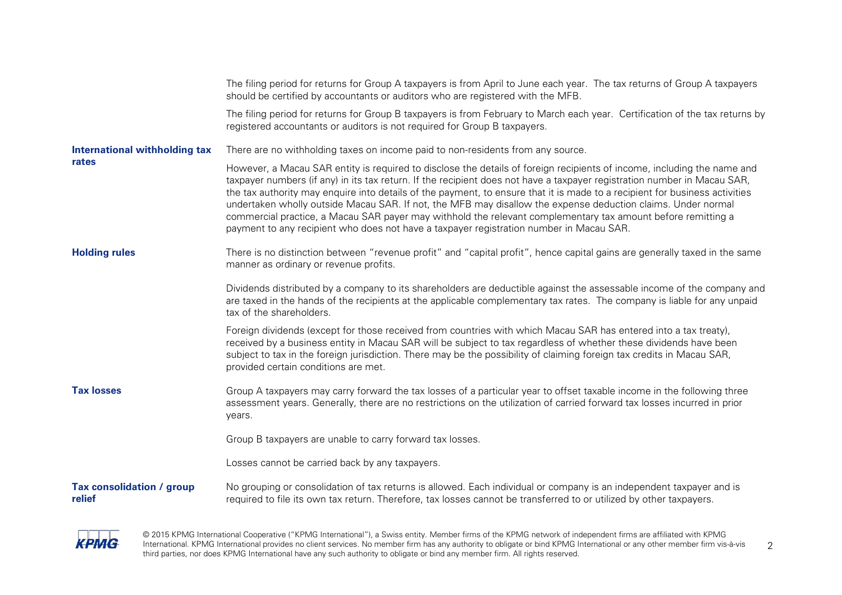|                                            | The filing period for returns for Group A taxpayers is from April to June each year. The tax returns of Group A taxpayers<br>should be certified by accountants or auditors who are registered with the MFB.                                                                                                                                                                                                                                                                                                                                                                                                                                                                                                  |
|--------------------------------------------|---------------------------------------------------------------------------------------------------------------------------------------------------------------------------------------------------------------------------------------------------------------------------------------------------------------------------------------------------------------------------------------------------------------------------------------------------------------------------------------------------------------------------------------------------------------------------------------------------------------------------------------------------------------------------------------------------------------|
|                                            | The filing period for returns for Group B taxpayers is from February to March each year. Certification of the tax returns by<br>registered accountants or auditors is not required for Group B taxpayers.                                                                                                                                                                                                                                                                                                                                                                                                                                                                                                     |
| <b>International withholding tax</b>       | There are no withholding taxes on income paid to non-residents from any source.                                                                                                                                                                                                                                                                                                                                                                                                                                                                                                                                                                                                                               |
| rates                                      | However, a Macau SAR entity is required to disclose the details of foreign recipients of income, including the name and<br>taxpayer numbers (if any) in its tax return. If the recipient does not have a taxpayer registration number in Macau SAR,<br>the tax authority may enquire into details of the payment, to ensure that it is made to a recipient for business activities<br>undertaken wholly outside Macau SAR. If not, the MFB may disallow the expense deduction claims. Under normal<br>commercial practice, a Macau SAR payer may withhold the relevant complementary tax amount before remitting a<br>payment to any recipient who does not have a taxpayer registration number in Macau SAR. |
| <b>Holding rules</b>                       | There is no distinction between "revenue profit" and "capital profit", hence capital gains are generally taxed in the same<br>manner as ordinary or revenue profits.                                                                                                                                                                                                                                                                                                                                                                                                                                                                                                                                          |
|                                            | Dividends distributed by a company to its shareholders are deductible against the assessable income of the company and<br>are taxed in the hands of the recipients at the applicable complementary tax rates. The company is liable for any unpaid<br>tax of the shareholders.                                                                                                                                                                                                                                                                                                                                                                                                                                |
|                                            | Foreign dividends (except for those received from countries with which Macau SAR has entered into a tax treaty),<br>received by a business entity in Macau SAR will be subject to tax regardless of whether these dividends have been<br>subject to tax in the foreign jurisdiction. There may be the possibility of claiming foreign tax credits in Macau SAR,<br>provided certain conditions are met.                                                                                                                                                                                                                                                                                                       |
| <b>Tax losses</b>                          | Group A taxpayers may carry forward the tax losses of a particular year to offset taxable income in the following three<br>assessment years. Generally, there are no restrictions on the utilization of carried forward tax losses incurred in prior<br>years.                                                                                                                                                                                                                                                                                                                                                                                                                                                |
|                                            | Group B taxpayers are unable to carry forward tax losses.                                                                                                                                                                                                                                                                                                                                                                                                                                                                                                                                                                                                                                                     |
|                                            | Losses cannot be carried back by any taxpayers.                                                                                                                                                                                                                                                                                                                                                                                                                                                                                                                                                                                                                                                               |
| <b>Tax consolidation / group</b><br>relief | No grouping or consolidation of tax returns is allowed. Each individual or company is an independent taxpayer and is<br>required to file its own tax return. Therefore, tax losses cannot be transferred to or utilized by other taxpayers.                                                                                                                                                                                                                                                                                                                                                                                                                                                                   |



© 2015 KPMG International Cooperative ("KPMG International"), a Swiss entity. Member firms of the KPMG network of independent firms are affiliated with KPMG International. KPMG International provides no client services. No member firm has any authority to obligate or bind KPMG International or any other member firm vis-à-vis 2<br>third parties, nor does KPMG International have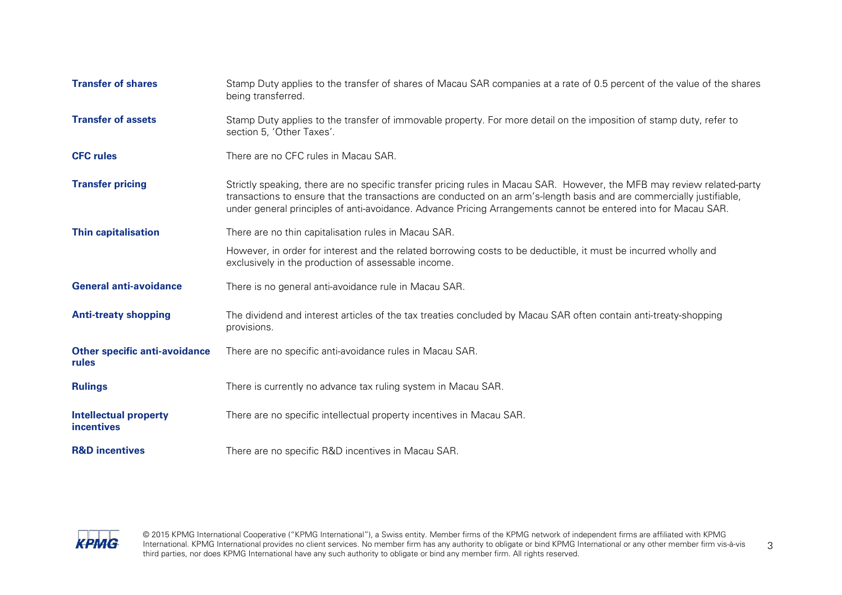| <b>Transfer of shares</b>                         | Stamp Duty applies to the transfer of shares of Macau SAR companies at a rate of 0.5 percent of the value of the shares<br>being transferred.                                                                                                                                                                                                                      |
|---------------------------------------------------|--------------------------------------------------------------------------------------------------------------------------------------------------------------------------------------------------------------------------------------------------------------------------------------------------------------------------------------------------------------------|
| <b>Transfer of assets</b>                         | Stamp Duty applies to the transfer of immovable property. For more detail on the imposition of stamp duty, refer to<br>section 5, 'Other Taxes'.                                                                                                                                                                                                                   |
| <b>CFC rules</b>                                  | There are no CFC rules in Macau SAR.                                                                                                                                                                                                                                                                                                                               |
| <b>Transfer pricing</b>                           | Strictly speaking, there are no specific transfer pricing rules in Macau SAR. However, the MFB may review related-party<br>transactions to ensure that the transactions are conducted on an arm's-length basis and are commercially justifiable,<br>under general principles of anti-avoidance. Advance Pricing Arrangements cannot be entered into for Macau SAR. |
| <b>Thin capitalisation</b>                        | There are no thin capitalisation rules in Macau SAR.                                                                                                                                                                                                                                                                                                               |
|                                                   | However, in order for interest and the related borrowing costs to be deductible, it must be incurred wholly and<br>exclusively in the production of assessable income.                                                                                                                                                                                             |
| <b>General anti-avoidance</b>                     | There is no general anti-avoidance rule in Macau SAR.                                                                                                                                                                                                                                                                                                              |
| <b>Anti-treaty shopping</b>                       | The dividend and interest articles of the tax treaties concluded by Macau SAR often contain anti-treaty-shopping<br>provisions.                                                                                                                                                                                                                                    |
| <b>Other specific anti-avoidance</b><br>rules     | There are no specific anti-avoidance rules in Macau SAR.                                                                                                                                                                                                                                                                                                           |
| <b>Rulings</b>                                    | There is currently no advance tax ruling system in Macau SAR.                                                                                                                                                                                                                                                                                                      |
| <b>Intellectual property</b><br><b>incentives</b> | There are no specific intellectual property incentives in Macau SAR.                                                                                                                                                                                                                                                                                               |
| <b>R&amp;D</b> incentives                         | There are no specific R&D incentives in Macau SAR.                                                                                                                                                                                                                                                                                                                 |



© 2015 KPMG International Cooperative ("KPMG International"), a Swiss entity. Member firms of the KPMG network of independent firms are affiliated with KPMG International. KPMG International provides no client services. No member firm has any authority to obligate or bind KPMG International or any other member firm vis-à-vis 3<br>third parties, nor does KPMG International have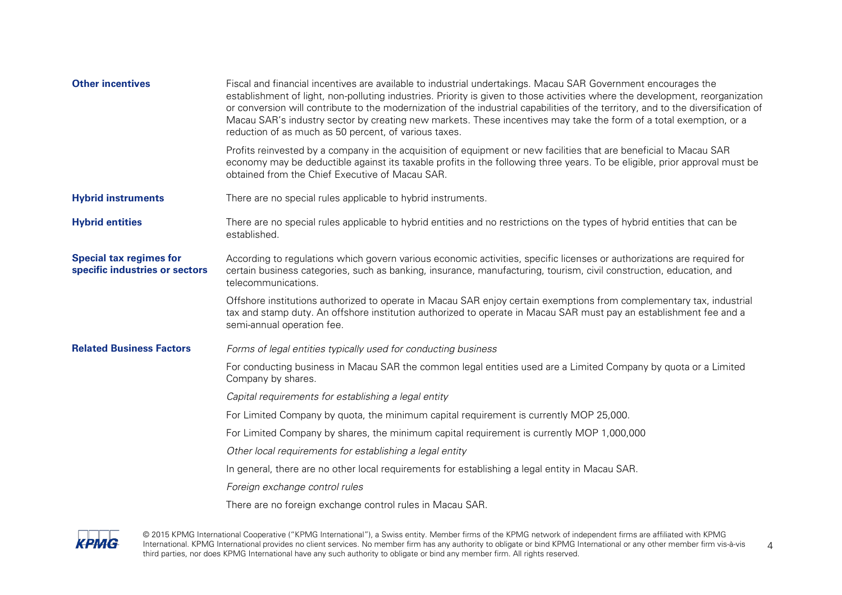| <b>Other incentives</b>                                          | Fiscal and financial incentives are available to industrial undertakings. Macau SAR Government encourages the<br>establishment of light, non-polluting industries. Priority is given to those activities where the development, reorganization<br>or conversion will contribute to the modernization of the industrial capabilities of the territory, and to the diversification of<br>Macau SAR's industry sector by creating new markets. These incentives may take the form of a total exemption, or a<br>reduction of as much as 50 percent, of various taxes. |
|------------------------------------------------------------------|--------------------------------------------------------------------------------------------------------------------------------------------------------------------------------------------------------------------------------------------------------------------------------------------------------------------------------------------------------------------------------------------------------------------------------------------------------------------------------------------------------------------------------------------------------------------|
|                                                                  | Profits reinvested by a company in the acquisition of equipment or new facilities that are beneficial to Macau SAR<br>economy may be deductible against its taxable profits in the following three years. To be eligible, prior approval must be<br>obtained from the Chief Executive of Macau SAR.                                                                                                                                                                                                                                                                |
| <b>Hybrid instruments</b>                                        | There are no special rules applicable to hybrid instruments.                                                                                                                                                                                                                                                                                                                                                                                                                                                                                                       |
| <b>Hybrid entities</b>                                           | There are no special rules applicable to hybrid entities and no restrictions on the types of hybrid entities that can be<br>established.                                                                                                                                                                                                                                                                                                                                                                                                                           |
| <b>Special tax regimes for</b><br>specific industries or sectors | According to regulations which govern various economic activities, specific licenses or authorizations are required for<br>certain business categories, such as banking, insurance, manufacturing, tourism, civil construction, education, and<br>telecommunications.                                                                                                                                                                                                                                                                                              |
|                                                                  | Offshore institutions authorized to operate in Macau SAR enjoy certain exemptions from complementary tax, industrial<br>tax and stamp duty. An offshore institution authorized to operate in Macau SAR must pay an establishment fee and a<br>semi-annual operation fee.                                                                                                                                                                                                                                                                                           |
| <b>Related Business Factors</b>                                  | Forms of legal entities typically used for conducting business                                                                                                                                                                                                                                                                                                                                                                                                                                                                                                     |
|                                                                  | For conducting business in Macau SAR the common legal entities used are a Limited Company by quota or a Limited<br>Company by shares.                                                                                                                                                                                                                                                                                                                                                                                                                              |
|                                                                  | Capital requirements for establishing a legal entity                                                                                                                                                                                                                                                                                                                                                                                                                                                                                                               |
|                                                                  | For Limited Company by quota, the minimum capital requirement is currently MOP 25,000.                                                                                                                                                                                                                                                                                                                                                                                                                                                                             |
|                                                                  | For Limited Company by shares, the minimum capital requirement is currently MOP 1,000,000                                                                                                                                                                                                                                                                                                                                                                                                                                                                          |
|                                                                  | Other local requirements for establishing a legal entity                                                                                                                                                                                                                                                                                                                                                                                                                                                                                                           |
|                                                                  | In general, there are no other local requirements for establishing a legal entity in Macau SAR.                                                                                                                                                                                                                                                                                                                                                                                                                                                                    |
|                                                                  | Foreign exchange control rules                                                                                                                                                                                                                                                                                                                                                                                                                                                                                                                                     |
|                                                                  | There are no foreign exchange control rules in Macau SAR.                                                                                                                                                                                                                                                                                                                                                                                                                                                                                                          |



© 2015 KPMG International Cooperative ("KPMG International"), a Swiss entity. Member firms of the KPMG network of independent firms are affiliated with KPMG International. KPMG International provides no client services. No member firm has any authority to obligate or bind KPMG International or any other member firm vis-à-vis 4<br>third parties, nor does KPMG International have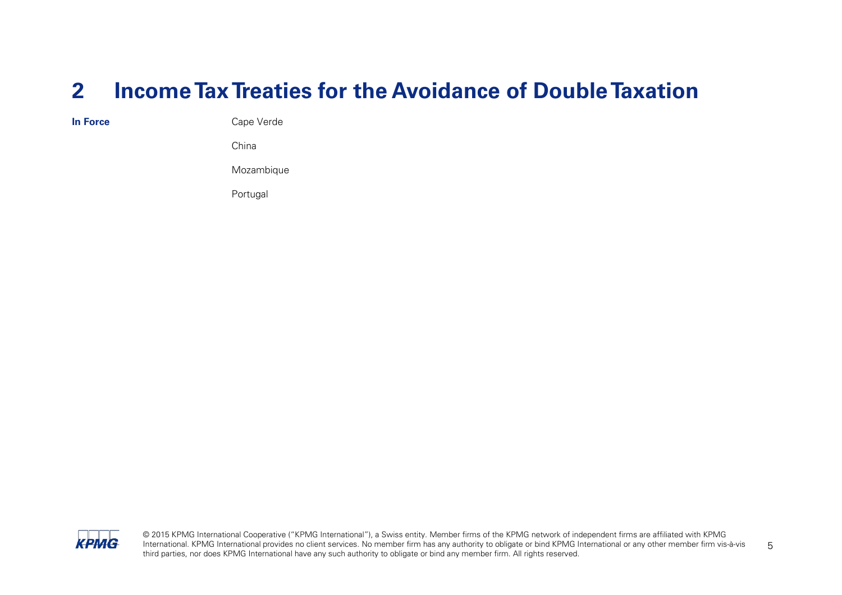#### <span id="page-6-0"></span>**2 Income Tax Treaties for the Avoidance of Double Taxation**

**In Force** Cape Verde

China

Mozambique

Portugal



© 2015 KPMG International Cooperative ("KPMG International"), a Swiss entity. Member firms of the KPMG network of independent firms are affiliated with KPMG International. KPMG International provides no client services. No member firm has any authority to obligate or bind KPMG International or any other member firm vis-à-vis International. KPMG International provides no client services. No member firm has any authority to obligate or bind KPMG International or any other member firm vis-à-vis<br>
third parties, nor does KPMG International have any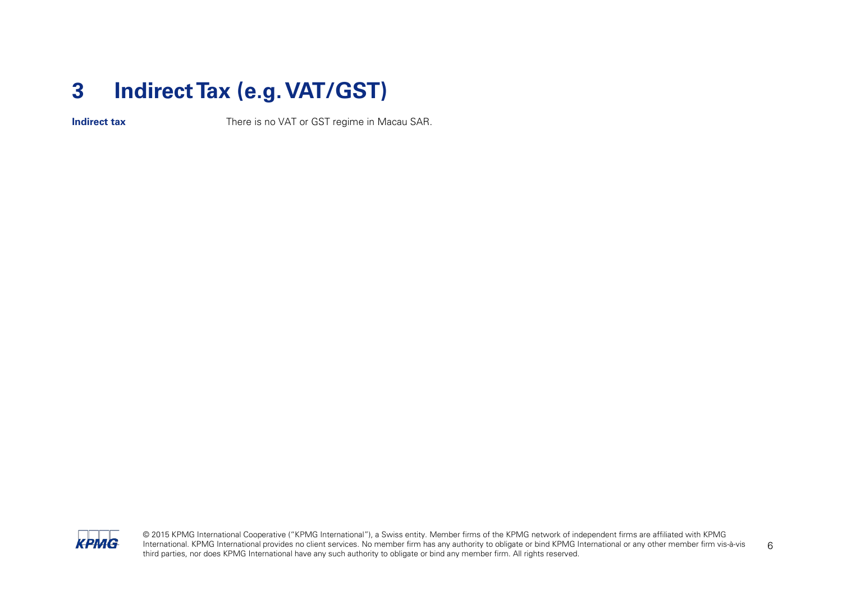### <span id="page-7-0"></span>**3 Indirect Tax (e.g. VAT/GST)**

**Indirect tax** There is no VAT or GST regime in Macau SAR.



© 2015 KPMG International Cooperative ("KPMG International"), a Swiss entity. Member firms of the KPMG network of independent firms are affiliated with KPMG International. KPMG International provides no client services. No member firm has any authority to obligate or bind KPMG International or any other member firm vis-à-vis International. KPMG International provides no client services. No member firm has any authority to obligate or bind KPMG International or any other member firm vis-à-vis 6<br>third parties, nor does KPMG International have an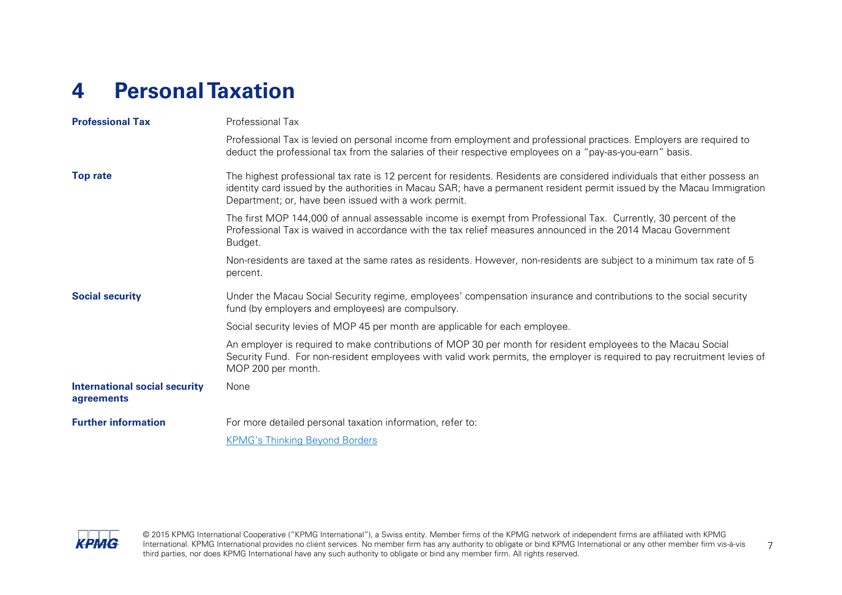### <span id="page-8-0"></span>**4 Personal Taxation**

| <b>Professional Tax</b>                            | Professional Tax                                                                                                                                                                                                                                                                                             |
|----------------------------------------------------|--------------------------------------------------------------------------------------------------------------------------------------------------------------------------------------------------------------------------------------------------------------------------------------------------------------|
|                                                    | Professional Tax is levied on personal income from employment and professional practices. Employers are required to<br>deduct the professional tax from the salaries of their respective employees on a "pay-as-you-earn" basis.                                                                             |
| <b>Top rate</b>                                    | The highest professional tax rate is 12 percent for residents. Residents are considered individuals that either possess an<br>identity card issued by the authorities in Macau SAR; have a permanent resident permit issued by the Macau Immigration<br>Department; or, have been issued with a work permit. |
|                                                    | The first MOP 144,000 of annual assessable income is exempt from Professional Tax. Currently, 30 percent of the<br>Professional Tax is waived in accordance with the tax relief measures announced in the 2014 Macau Government<br>Budget.                                                                   |
|                                                    | Non-residents are taxed at the same rates as residents. However, non-residents are subject to a minimum tax rate of 5<br>percent.                                                                                                                                                                            |
| <b>Social security</b>                             | Under the Macau Social Security regime, employees' compensation insurance and contributions to the social security<br>fund (by employers and employees) are compulsory.                                                                                                                                      |
|                                                    | Social security levies of MOP 45 per month are applicable for each employee.                                                                                                                                                                                                                                 |
|                                                    | An employer is required to make contributions of MOP 30 per month for resident employees to the Macau Social<br>Security Fund. For non-resident employees with valid work permits, the employer is required to pay recruitment levies of<br>MOP 200 per month.                                               |
| <b>International social security</b><br>agreements | None                                                                                                                                                                                                                                                                                                         |
| <b>Further information</b>                         | For more detailed personal taxation information, refer to:                                                                                                                                                                                                                                                   |
|                                                    | <b>KPMG's Thinking Beyond Borders</b>                                                                                                                                                                                                                                                                        |



© 2015 KPMG International Cooperative ("KPMG International"), a Swiss entity. Member firms of the KPMG network of independent firms are affiliated with KPMG International. KPMG International provides no client services. No member firm has any authority to obligate or bind KPMG International or any other member firm vis-à-vis 7<br>third parties, nor does KPMG International hav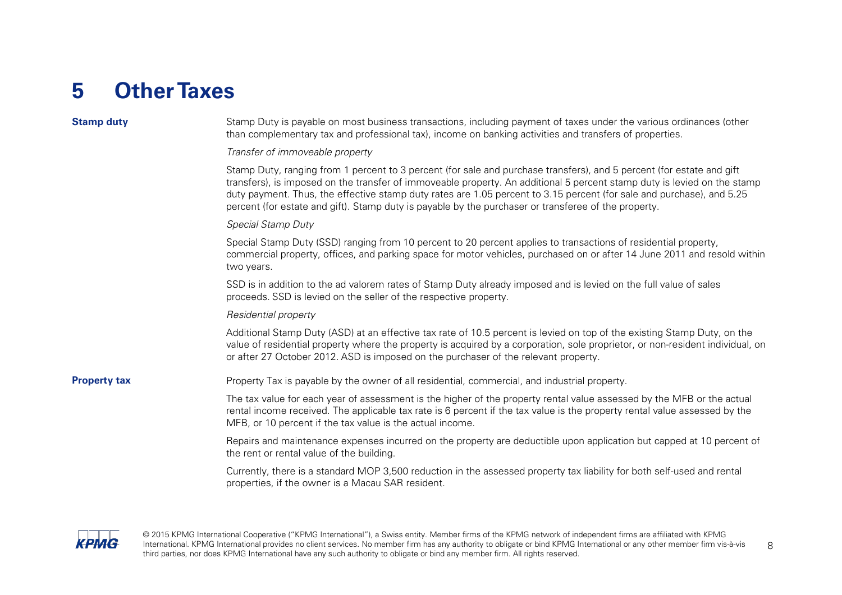#### <span id="page-9-0"></span>**5 OtherTaxes**

#### **Stamp duty** Stamp Duty is payable on most business transactions, including payment of taxes under the various ordinances (other than complementary tax and professional tax), income on banking activities and transfers of properties. Transfer of immoveable property Stamp Duty, ranging from 1 percent to 3 percent (for sale and purchase transfers), and 5 percent (for estate and gift transfers), is imposed on the transfer of immoveable property. An additional 5 percent stamp duty is levied on the stamp duty payment. Thus, the effective stamp duty rates are 1.05 percent to 3.15 percent (for sale and purchase), and 5.25 percent (for estate and gift). Stamp duty is payable by the purchaser or transferee of the property. Special Stamp Duty Special Stamp Duty (SSD) ranging from 10 percent to 20 percent applies to transactions of residential property, commercial property, offices, and parking space for motor vehicles, purchased on or after 14 June 2011 and resold within two years. SSD is in addition to the ad valorem rates of Stamp Duty already imposed and is levied on the full value of sales proceeds. SSD is levied on the seller of the respective property. Residential property Additional Stamp Duty (ASD) at an effective tax rate of 10.5 percent is levied on top of the existing Stamp Duty, on the value of residential property where the property is acquired by a corporation, sole proprietor, or non-resident individual, on or after 27 October 2012. ASD is imposed on the purchaser of the relevant property. **Property tax** Property Tax is payable by the owner of all residential, commercial, and industrial property. The tax value for each year of assessment is the higher of the property rental value assessed by the MFB or the actual rental income received. The applicable tax rate is 6 percent if the tax value is the property rental value assessed by the MFB, or 10 percent if the tax value is the actual income. Repairs and maintenance expenses incurred on the property are deductible upon application but capped at 10 percent of the rent or rental value of the building. Currently, there is a standard MOP 3,500 reduction in the assessed property tax liability for both self-used and rental properties, if the owner is a Macau SAR resident.



© 2015 KPMG International Cooperative ("KPMG International"), a Swiss entity. Member firms of the KPMG network of independent firms are affiliated with KPMG International. KPMG International provides no client services. No member firm has any authority to obligate or bind KPMG International or any other member firm vis-à-vis 8<br>third parties, nor does KPMG Intern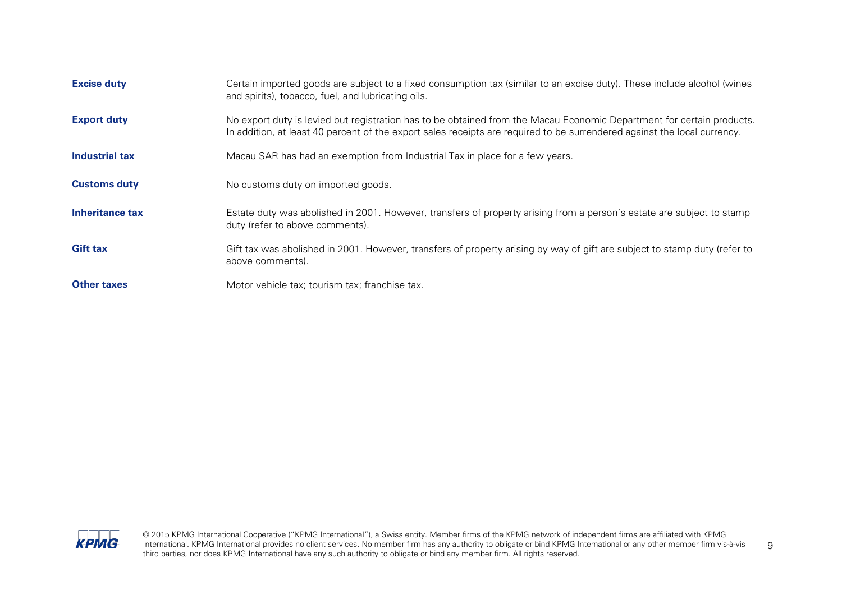| <b>Excise duty</b>  | Certain imported goods are subject to a fixed consumption tax (similar to an excise duty). These include alcohol (wines<br>and spirits), tobacco, fuel, and lubricating oils.                                                                     |
|---------------------|---------------------------------------------------------------------------------------------------------------------------------------------------------------------------------------------------------------------------------------------------|
| <b>Export duty</b>  | No export duty is levied but registration has to be obtained from the Macau Economic Department for certain products.<br>In addition, at least 40 percent of the export sales receipts are required to be surrendered against the local currency. |
| Industrial tax      | Macau SAR has had an exemption from Industrial Tax in place for a few years.                                                                                                                                                                      |
| <b>Customs duty</b> | No customs duty on imported goods.                                                                                                                                                                                                                |
| Inheritance tax     | Estate duty was abolished in 2001. However, transfers of property arising from a person's estate are subject to stamp<br>duty (refer to above comments).                                                                                          |
| <b>Gift tax</b>     | Gift tax was abolished in 2001. However, transfers of property arising by way of gift are subject to stamp duty (refer to<br>above comments).                                                                                                     |
| <b>Other taxes</b>  | Motor vehicle tax; tourism tax; franchise tax.                                                                                                                                                                                                    |



© 2015 KPMG International Cooperative ("KPMG International"), a Swiss entity. Member firms of the KPMG network of independent firms are affiliated with KPMG International. KPMG International provides no client services. No member firm has any authority to obligate or bind KPMG International or any other member firm vis-à-vis g<br>third parties, nor does KPMG International have an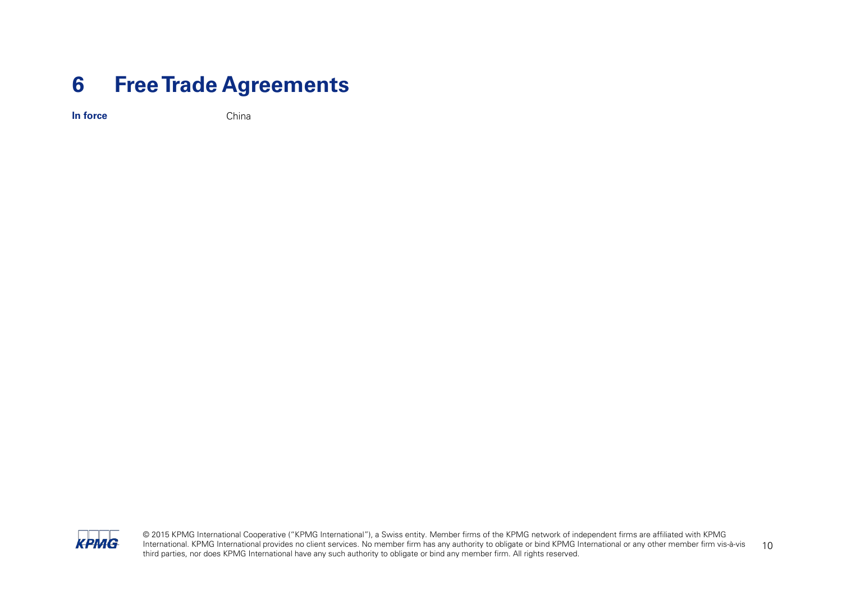#### <span id="page-11-0"></span>**6 Free Trade Agreements**

**In force** China



© 2015 KPMG International Cooperative ("KPMG International"), a Swiss entity. Member firms of the KPMG network of independent firms are affiliated with KPMG International. KPMG International provides no client services. No member firm has any authority to obligate or bind KPMG International or any other member firm vis-à-vis International. KPMG International provides no client services. No member firm has any authority to obligate or bind KPMG International or any other member firm vis-à-vis 10<br>third parties, nor does KPMG International have a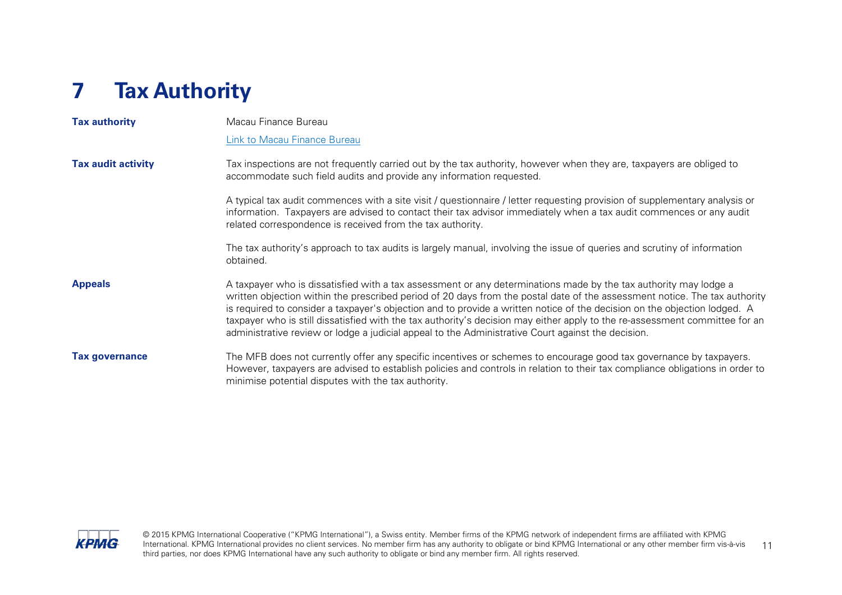## <span id="page-12-0"></span>**7 Tax Authority**

| <b>Tax authority</b>      | Macau Finance Bureau                                                                                                                                                                                                                                                                                                                                                                                                                                                                                                                                                                                             |  |  |
|---------------------------|------------------------------------------------------------------------------------------------------------------------------------------------------------------------------------------------------------------------------------------------------------------------------------------------------------------------------------------------------------------------------------------------------------------------------------------------------------------------------------------------------------------------------------------------------------------------------------------------------------------|--|--|
|                           | <b>Link to Macau Finance Bureau</b>                                                                                                                                                                                                                                                                                                                                                                                                                                                                                                                                                                              |  |  |
| <b>Tax audit activity</b> | Tax inspections are not frequently carried out by the tax authority, however when they are, taxpayers are obliged to<br>accommodate such field audits and provide any information requested.                                                                                                                                                                                                                                                                                                                                                                                                                     |  |  |
|                           | A typical tax audit commences with a site visit / questionnaire / letter requesting provision of supplementary analysis or<br>information. Taxpayers are advised to contact their tax advisor immediately when a tax audit commences or any audit<br>related correspondence is received from the tax authority.                                                                                                                                                                                                                                                                                                  |  |  |
|                           | The tax authority's approach to tax audits is largely manual, involving the issue of queries and scrutiny of information<br>obtained.                                                                                                                                                                                                                                                                                                                                                                                                                                                                            |  |  |
| <b>Appeals</b>            | A taxpayer who is dissatisfied with a tax assessment or any determinations made by the tax authority may lodge a<br>written objection within the prescribed period of 20 days from the postal date of the assessment notice. The tax authority<br>is required to consider a taxpayer's objection and to provide a written notice of the decision on the objection lodged. A<br>taxpayer who is still dissatisfied with the tax authority's decision may either apply to the re-assessment committee for an<br>administrative review or lodge a judicial appeal to the Administrative Court against the decision. |  |  |
| <b>Tax governance</b>     | The MFB does not currently offer any specific incentives or schemes to encourage good tax governance by taxpayers.<br>However, taxpayers are advised to establish policies and controls in relation to their tax compliance obligations in order to<br>minimise potential disputes with the tax authority.                                                                                                                                                                                                                                                                                                       |  |  |



© 2015 KPMG International Cooperative ("KPMG International"), a Swiss entity. Member firms of the KPMG network of independent firms are affiliated with KPMG International. KPMG International provides no client services. No member firm has any authority to obligate or bind KPMG International or any other member firm vis-à-vis 11<br>third parties, nor does KPMG International have